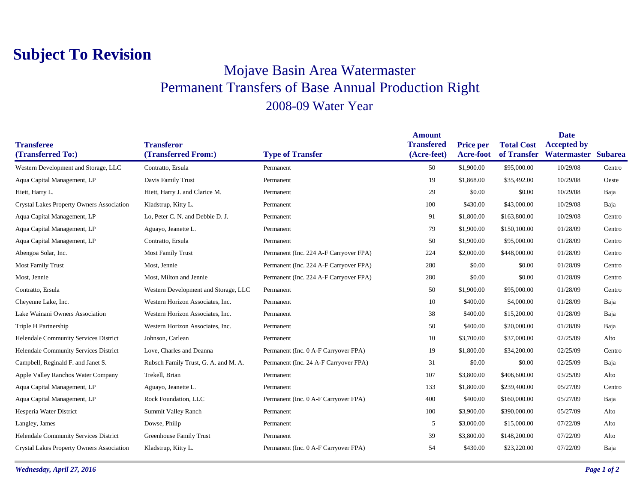## **Subject To Revision**

## Mojave Basin Area Watermaster Permanent Transfers of Base Annual Production Right 2008-09 Water Year

|                                           |                                      |                                        | <b>Amount</b>     |                  |                   | <b>Date</b>         |        |
|-------------------------------------------|--------------------------------------|----------------------------------------|-------------------|------------------|-------------------|---------------------|--------|
| <b>Transferee</b>                         | <b>Transferor</b>                    |                                        | <b>Transfered</b> | <b>Price per</b> | <b>Total Cost</b> | <b>Accepted by</b>  |        |
| (Transferred To:)                         | (Transferred From:)                  | <b>Type of Transfer</b>                | (Acre-feet)       | <b>Acre-foot</b> | of Transfer       | Watermaster Subarea |        |
| Western Development and Storage, LLC      | Contratto, Ersula                    | Permanent                              | 50                | \$1,900.00       | \$95,000.00       | 10/29/08            | Centro |
| Aqua Capital Management, LP               | Davis Family Trust                   | Permanent                              | 19                | \$1,868.00       | \$35,492.00       | 10/29/08            | Oeste  |
| Hiett, Harry L.                           | Hiett, Harry J. and Clarice M.       | Permanent                              | 29                | \$0.00           | \$0.00            | 10/29/08            | Baja   |
| Crystal Lakes Property Owners Association | Kladstrup, Kitty L.                  | Permanent                              | 100               | \$430.00         | \$43,000.00       | 10/29/08            | Baja   |
| Aqua Capital Management, LP               | Lo, Peter C. N. and Debbie D. J.     | Permanent                              | 91                | \$1,800.00       | \$163,800.00      | 10/29/08            | Centro |
| Aqua Capital Management, LP               | Aguayo, Jeanette L.                  | Permanent                              | 79                | \$1,900.00       | \$150,100.00      | 01/28/09            | Centro |
| Aqua Capital Management, LP               | Contratto, Ersula                    | Permanent                              | 50                | \$1,900.00       | \$95,000.00       | 01/28/09            | Centro |
| Abengoa Solar, Inc.                       | <b>Most Family Trust</b>             | Permanent (Inc. 224 A-F Carryover FPA) | 224               | \$2,000.00       | \$448,000.00      | 01/28/09            | Centro |
| <b>Most Family Trust</b>                  | Most, Jennie                         | Permanent (Inc. 224 A-F Carryover FPA) | 280               | \$0.00           | \$0.00            | 01/28/09            | Centro |
| Most, Jennie                              | Most, Milton and Jennie              | Permanent (Inc. 224 A-F Carryover FPA) | 280               | \$0.00           | \$0.00            | 01/28/09            | Centro |
| Contratto, Ersula                         | Western Development and Storage, LLC | Permanent                              | 50                | \$1,900.00       | \$95,000.00       | 01/28/09            | Centro |
| Cheyenne Lake, Inc.                       | Western Horizon Associates, Inc.     | Permanent                              | 10                | \$400.00         | \$4,000.00        | 01/28/09            | Baja   |
| Lake Wainani Owners Association           | Western Horizon Associates, Inc.     | Permanent                              | 38                | \$400.00         | \$15,200.00       | 01/28/09            | Baja   |
| Triple H Partnership                      | Western Horizon Associates, Inc.     | Permanent                              | 50                | \$400.00         | \$20,000.00       | 01/28/09            | Baja   |
| Helendale Community Services District     | Johnson, Carlean                     | Permanent                              | 10                | \$3,700.00       | \$37,000.00       | 02/25/09            | Alto   |
| Helendale Community Services District     | Love, Charles and Deanna             | Permanent (Inc. 0 A-F Carryover FPA)   | 19                | \$1,800.00       | \$34,200.00       | 02/25/09            | Centro |
| Campbell, Reginald F. and Janet S.        | Rubsch Family Trust, G. A. and M. A. | Permanent (Inc. 24 A-F Carryover FPA)  | 31                | \$0.00           | \$0.00            | 02/25/09            | Baja   |
| Apple Valley Ranchos Water Company        | Trekell, Brian                       | Permanent                              | 107               | \$3,800.00       | \$406,600.00      | 03/25/09            | Alto   |
| Aqua Capital Management, LP               | Aguayo, Jeanette L.                  | Permanent                              | 133               | \$1,800.00       | \$239,400.00      | 05/27/09            | Centro |
| Aqua Capital Management, LP               | Rock Foundation, LLC                 | Permanent (Inc. 0 A-F Carryover FPA)   | 400               | \$400.00         | \$160,000.00      | 05/27/09            | Baja   |
| Hesperia Water District                   | Summit Valley Ranch                  | Permanent                              | 100               | \$3,900.00       | \$390,000.00      | 05/27/09            | Alto   |
| Langley, James                            | Dowse, Philip                        | Permanent                              | 5                 | \$3,000.00       | \$15,000.00       | 07/22/09            | Alto   |
| Helendale Community Services District     | <b>Greenhouse Family Trust</b>       | Permanent                              | 39                | \$3,800.00       | \$148,200.00      | 07/22/09            | Alto   |
| Crystal Lakes Property Owners Association | Kladstrup, Kitty L.                  | Permanent (Inc. 0 A-F Carryover FPA)   | 54                | \$430.00         | \$23,220.00       | 07/22/09            | Baja   |